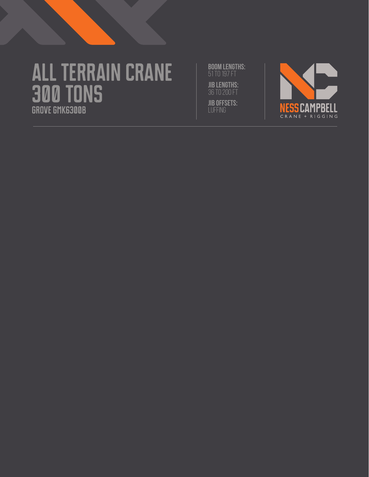# **All Terrain crane 300 tons Grove gmk6300b**

**BOOM LENGTHS:** 51 to 197 ft **JIB LENGTHS: JIB OFFSETS:** luffing

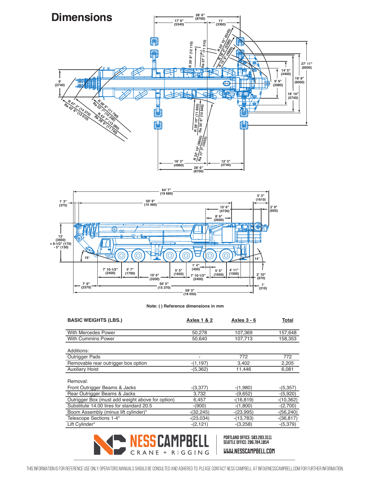



| <b>BASIC WEIGHTS (LBS.)</b>                      | <b>Axles 1 &amp; 2</b> | Axles $3 - 6$ | Total        |
|--------------------------------------------------|------------------------|---------------|--------------|
| <b>With Mercedes Power</b>                       | 50,278                 | 107,369       | 157,648      |
| <b>With Cummins Power</b>                        | 50,640                 | 107,713       | 158,353      |
| Additions:                                       |                        |               |              |
| <b>Outrigger Pads</b>                            | ٠                      | 772           | 772          |
| Removable rear outrigger box option              | $-(1, 197)$            | 3,402         | 2,205        |
| <b>Auxiliary Hoist</b>                           | $-(5,362)$             | 11,446        | 6,081        |
| Removal:                                         |                        |               |              |
| Front Outrigger Beams & Jacks                    | $-(3,377)$             | $-(1,980)$    | $-(5,357)$   |
| Rear Outrigger Beams & Jacks                     | 3,732                  | $-(9,652)$    | $-(5,920)$   |
| Outrigger Box (must add weight above for option) | 6,457                  | $-(16, 819)$  | $-(10,362)$  |
| Substitute 14.00 tires for standard 20.5         | $-(900)$               | $-(1,800)$    | $-(2,700)$   |
| Boom Assembly (minus lift cylinder)*             | $-(32, 245)$           | $-(23,995)$   | $-(56,240)$  |
| Telescope Sections 1-4*                          | $-(23,034)$            | $-(13,783)$   | $-(36, 817)$ |
| Lift Cylinder*                                   | $-(2, 121)$            | $-(3,258)$    | $-(5,379)$   |
|                                                  |                        |               |              |

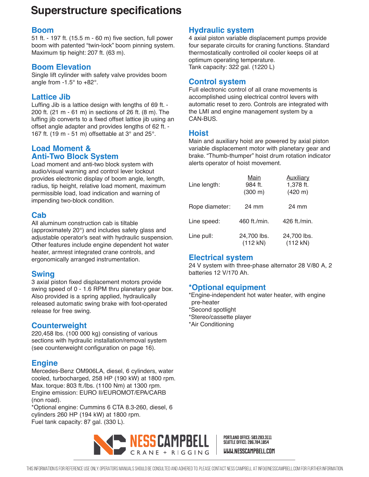# **Superstructure specifications**

#### **Boom**

51 ft. - 197 ft. (15.5 m - 60 m) five section, full power boom with patented "twin-lock" boom pinning system. Maximum tip height: 207 ft. (63 m).

#### **Boom Elevation**

Single lift cylinder with safety valve provides boom angle from  $-1.5^\circ$  to  $+82^\circ$ .

### **Lattice Jib**

Luffing Jib is a lattice design with lengths of 69 ft. - 200 ft. (21 m - 61 m) in sections of 26 ft. (8 m). The luffing jib converts to a fixed offset lattice jib using an offset angle adapter and provides lengths of 62 ft. - 167 ft. (19 m - 51 m) offsettable at  $3^\circ$  and  $25^\circ$ .

#### **Load Moment & Anti-Two Block System**

Load moment and anti-two block system with audio/visual warning and control lever lockout provides electronic display of boom angle, length, radius, tip height, relative load moment, maximum permissible load, load indication and warning of impending two-block condition.

### **Cab**

All aluminum construction cab is tiltable (approximately 20°) and includes safety glass and adjustable operator's seat with hydraulic suspension. Other features include engine dependent hot water heater, armrest integrated crane controls, and ergonomically arranged instrumentation.

### **Swing**

3 axial piston fixed displacement motors provide swing speed of 0 - 1.6 RPM thru planetary gear box. Also provided is a spring applied, hydraulically released automatic swing brake with foot-operated release for free swing.

### **Counterweight**

220,458 lbs. (100 000 kg) consisting of various sections with hydraulic installation/removal system (see counterweight configuration on page 16).

### **Engine**

Mercedes-Benz OM906LA, diesel, 6 cylinders, water cooled, turbocharged, 258 HP (190 kW) at 1800 rpm. Max. torque: 803 ft./lbs. (1100 Nm) at 1300 rpm. Engine emission: EURO II/EUROMOT/EPA/CARB (non road).

\*Optional engine: Cummins 6 CTA 8.3-260, diesel, 6 cylinders 260 HP (194 kW) at 1800 rpm. Fuel tank capacity: 87 gal. (330 L).

## **Hydraulic system**

4 axial piston variable displacement pumps provide four separate circuits for craning functions. Standard thermostatically controlled oil cooler keeps oil at optimum operating temperature. Tank capacity: 322 gal. (1220 L)

#### **Control system**

Full electronic control of all crane movements is accomplished using electrical control levers with automatic reset to zero. Controls are integrated with the LMI and engine management system by a CAN-BUS.

#### **Hoist**

Main and auxiliary hoist are powered by axial piston variable displacement motor with planetary gear and brake. "Thumb-thumper" hoist drum rotation indicator alerts operator of hoist movement.

| Line length:   | Main<br>984 ft.<br>(300 m) | <b>Auxiliary</b><br>1,378 ft.<br>(420 m) |
|----------------|----------------------------|------------------------------------------|
| Rope diameter: | 24 mm                      | 24 mm                                    |
| Line speed:    | 460 ft./min.               | 426 ft./min.                             |
| Line pull:     | 24,700 lbs.<br>(112 kN)    | 24,700 lbs.<br>(112 kN)                  |

### **Electrical system**

24 V system with three-phase alternator 28 V/80 A, 2 batteries 12 V/170 Ah.

### **\*Optional equipment**

\*Engine-independent hot water heater, with engine pre-heater \*Second spotlight \*Stereo/cassette player \*Air Conditioning

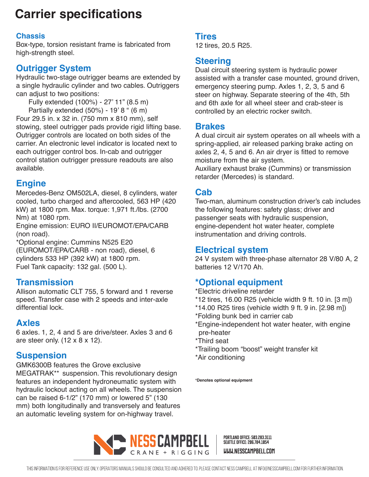# **Carrier specifications**

## **Chassis**

Box-type, torsion resistant frame is fabricated from high-strength steel.

## **Outrigger System**

Hydraulic two-stage outrigger beams are extended by a single hydraulic cylinder and two cables. Outriggers can adjust to two positions:

Fully extended (100%) - 27' 11" (8.5 m) Partially extended (50%) - 19' 8 " (6 m)

Four 29.5 in. x 32 in. (750 mm x 810 mm), self stowing, steel outrigger pads provide rigid lifting base. Outrigger controls are located on both sides of the carrier. An electronic level indicator is located next to each outrigger control bos. In-cab and outrigger control station outrigger pressure readouts are also available.

## **Engine**

Mercedes-Benz OM502LA, diesel, 8 cylinders, water cooled, turbo charged and aftercooled, 563 HP (420 kW) at 1800 rpm. Max. torque: 1,971 ft./lbs. (2700 Nm) at 1080 rpm.

Engine emission: EURO II/EUROMOT/EPA/CARB (non road).

\*Optional engine: Cummins N525 E20 (EUROMOT/EPA/CARB - non road), diesel, 6 cylinders 533 HP (392 kW) at 1800 rpm. Fuel Tank capacity: 132 gal. (500 L).

## **Transmission**

Allison automatic CLT 755, 5 forward and 1 reverse speed. Transfer case with 2 speeds and inter-axle differential lock.

## **Axles**

6 axles. 1, 2, 4 and 5 are drive/steer. Axles 3 and 6 are steer only. (12 x 8 x 12).

## **Suspension**

GMK6300B features the Grove exclusive MEGATRAK\*\* suspension. This revolutionary design features an independent hydroneumatic system with hydraulic lockout acting on all wheels. The suspension can be raised 6-1/2" (170 mm) or lowered 5" (130 mm) both longitudinally and transversely and features an automatic leveling system for on-highway travel.

## **Tires**

12 tires, 20.5 R25.

## **Steering**

Dual circuit steering system is hydraulic power assisted with a transfer case mounted, ground driven, emergency steering pump. Axles 1, 2, 3, 5 and 6 steer on highway. Separate steering of the 4th, 5th and 6th axle for all wheel steer and crab-steer is controlled by an electric rocker switch.

## **Brakes**

A dual circuit air system operates on all wheels with a spring-applied, air released parking brake acting on axles 2, 4, 5 and 6. An air dryer is fitted to remove moisture from the air system.

Auxiliary exhaust brake (Cummins) or transmission retarder (Mercedes) is standard.

## **Cab**

Two-man, aluminum construction driver's cab includes the following features: safety glass; driver and passenger seats with hydraulic suspension, engine-dependent hot water heater, complete instrumentation and driving controls.

## **Electrical system**

24 V system with three-phase alternator 28 V/80 A, 2 batteries 12 V/170 Ah.

## **\*Optional equipment**

- \*Electric driveline retarder
- \*12 tires, 16.00 R25 (vehicle width 9 ft. 10 in. [3 m])
- \*14.00 R25 tires (vehicle width 9 ft. 9 in. [2.98 m])
- \*Folding bunk bed in carrier cab
- \*Engine-independent hot water heater, with engine pre-heater
- \*Third seat
- \*Trailing boom "boost" weight transfer kit
- \*Air conditioning

*\****Denotes optional equipment**

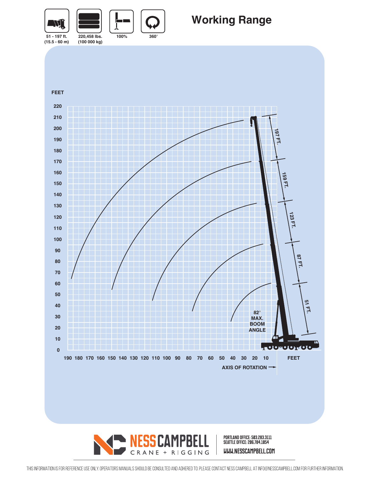

# **Working Range**

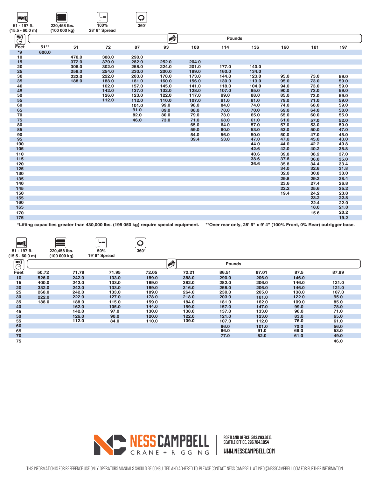| ⊸∗                |        |              | л.            | $\star$     |             |       |        |       |      |      |      |
|-------------------|--------|--------------|---------------|-------------|-------------|-------|--------|-------|------|------|------|
| 51 - 197 ft.      |        | 220,458 lbs. | 100%          | $360^\circ$ |             |       |        |       |      |      |      |
| $(15.5 - 60.0 m)$ |        | (100000kg)   | 28' 6" Spread |             |             |       |        |       |      |      |      |
| $\blacksquare$    |        |              |               |             | <b>Alla</b> |       | Pounds |       |      |      |      |
| $\Theta$          |        |              |               |             |             |       |        |       |      |      |      |
| Feet              | $51**$ | 51           | 72            | 87          | 93          | 108   | 114    | 136   | 160  | 181  | 197  |
| ${}^{\star}9$     | 600.0  |              |               |             |             |       |        |       |      |      |      |
| 10                |        | 470.0        | 388.0         | 290.0       |             |       |        |       |      |      |      |
| 15                |        | 372.0        | 370.0         | 282.0       | 252.0       | 204.0 |        |       |      |      |      |
| 20                |        | 306.0        | 302.0         | 258.0       | 224.0       | 201.0 | 177.0  | 140.0 |      |      |      |
| 25                |        | 258.0        | 254.0         | 230.0       | 200.0       | 189.0 | 160.0  | 134.0 |      |      |      |
| 30                |        | 222.0        | 222.0         | 203.0       | 178.0       | 173.0 | 144.0  | 123.0 | 95.0 | 73.0 | 59.0 |
| 35                |        | 188.0        | 188.0         | 181.0       | 160.0       | 156.0 | 130.0  | 113.0 | 95.0 | 73.0 | 59.0 |
| 40                |        |              | 162.0         | 157.0       | 145.0       | 141.0 | 118.0  | 104.0 | 94.0 | 73.0 | 59.0 |
| 45                |        |              | 142.0         | 137.0       | 132.0       | 128.0 | 107.0  | 95.0  | 90.0 | 73.0 | 59.0 |
| 50                |        |              | 126.0         | 123.0       | 122.0       | 117.0 | 99.0   | 88.0  | 85.0 | 73.0 | 59.0 |
| 55                |        |              | 112.0         | 112.0       | 110.0       | 107.0 | 91.0   | 81.0  | 79.0 | 71.0 | 59.0 |
| 60                |        |              |               | 101.0       | 99.0        | 98.0  | 84.0   | 74.0  | 74.0 | 68.0 | 59.0 |
| 65                |        |              |               | 91.0        | 89.0        | 88.0  | 78.0   | 70.0  | 69.0 | 64.0 | 58.0 |
| 70                |        |              |               | 82.0        | 80.0        | 79.0  | 73.0   | 65.0  | 65.0 | 60.0 | 55.0 |
| 75                |        |              |               | 46.0        | 73.0        | 71.0  | 68.0   | 61.0  | 61.0 | 57.0 | 52.0 |
| 80                |        |              |               |             |             | 65.0  | 64.0   | 57.0  | 57.0 | 53.0 | 50.0 |
| 85                |        |              |               |             |             | 59.0  | 60.0   | 53.0  | 53.0 | 50.0 | 47.0 |
| 90                |        |              |               |             |             | 54.0  | 56.0   | 50.0  | 50.0 | 47.0 | 45.0 |
| 95                |        |              |               |             |             | 39.4  | 53.0   | 47.0  | 47.0 | 45.0 | 43.0 |
| 100               |        |              |               |             |             |       |        | 44.0  | 44.0 | 42.2 | 40.8 |
| 105               |        |              |               |             |             |       |        | 42.6  | 42.0 | 40.2 | 38.8 |
| 110               |        |              |               |             |             |       |        | 40.6  | 39.8 | 38.2 | 37.0 |
| 115               |        |              |               |             |             |       |        | 38.6  | 37.6 | 36.0 | 35.0 |
| 120               |        |              |               |             |             |       |        | 36.6  | 35.8 | 34.4 | 33.4 |
| 125               |        |              |               |             |             |       |        |       | 34.0 | 32.6 | 31.8 |
| 130               |        |              |               |             |             |       |        |       | 32.0 | 30.8 | 30.0 |
| 135               |        |              |               |             |             |       |        |       | 29.8 | 29.2 | 28.4 |
| 140               |        |              |               |             |             |       |        |       | 23.6 | 27.4 | 26.8 |
| 145               |        |              |               |             |             |       |        |       | 22.2 | 25.6 | 25.2 |
| 150               |        |              |               |             |             |       |        |       | 19.4 | 24.2 | 23.8 |
| 155               |        |              |               |             |             |       |        |       |      | 23.2 | 22.8 |
| 160               |        |              |               |             |             |       |        |       |      | 22.4 | 22.0 |
| 165               |        |              |               |             |             |       |        |       |      | 18.0 | 21.0 |
| 170               |        |              |               |             |             |       |        |       |      | 15.6 | 20.2 |
| 175               |        |              |               |             |             |       |        |       |      |      | 19.2 |
|                   |        |              |               |             |             |       |        |       |      |      |      |

 $\Omega$ 

 $\sqrt{L}$ 

 $\lceil \cdot \cdot \cdot \rceil$ 

**\*Lifting capacities greater than 430,000 lbs. (195 050 kg) require special equipment. \*\*Over rear only, 28' 6" x 9' 4" (100% Front, 0% Rear) outrigger base.**

| AV)<br>51 - 197 ft.<br>$(15.5 - 60.0$ m) |       | 220,458 lbs.<br>(100000 kg) | <u>' – – </u><br>50%<br>19' 8" Spread | W<br>$360^\circ$ |       |               |       |       |       |
|------------------------------------------|-------|-----------------------------|---------------------------------------|------------------|-------|---------------|-------|-------|-------|
| $\overline{\mathbb{C}}$                  |       |                             |                                       |                  | 叠     | <b>Pounds</b> |       |       |       |
| Feet                                     | 50.72 | 71.78                       | 71.95                                 | 72.05            | 72.21 | 86.51         | 87.01 | 87.5  | 87.99 |
| 10                                       | 526.0 | 242.0                       | 133.0                                 | 189.0            | 388.0 | 290.0         | 206.0 | 146.0 |       |
| 15                                       | 400.0 | 242.0                       | 133.0                                 | 189.0            | 382.0 | 282.0         | 206.0 | 146.0 | 121.0 |
| 20                                       | 332.0 | 242.0                       | 133.0                                 | 189.0            | 316.0 | 258.0         | 206.0 | 146.0 | 121.0 |
| 25                                       | 268.0 | 242.0                       | 133.0                                 | 189.0            | 264.0 | 230.0         | 205.0 | 138.0 | 107.0 |
| 30                                       | 222.0 | 222.0                       | 127.0                                 | 178.0            | 218.0 | 203.0         | 181.0 | 122.0 | 95.0  |
| 35                                       | 188.0 | 188.0                       | 115.0                                 | 159.0            | 184.0 | 181.0         | 162.0 | 109.0 | 85.0  |
| 40                                       |       | 162.0                       | 105.0                                 | 144.0            | 159.0 | 157.0         | 147.0 | 99.0  | 78.0  |
| 45                                       |       | 142.0                       | 97.0                                  | 130.0            | 138.0 | 137.0         | 133.0 | 90.0  | 71.0  |
| 50                                       |       | 126.0                       | 90.0                                  | 120.0            | 122.0 | 121.0         | 123.0 | 83.0  | 65.0  |
| 55                                       |       | 112.0                       | 84.0                                  | 110.0            | 109.0 | 107.0         | 112.0 | 76.0  | 61.0  |
| 60                                       |       |                             |                                       |                  |       | 96.0          | 101.0 | 70.0  | 56.0  |
| 65                                       |       |                             |                                       |                  |       | 86.0          | 91.0  | 66.0  | 53.0  |
| 70                                       |       |                             |                                       |                  |       | 77.0          | 82.0  | 61.0  | 49.0  |
| 75                                       |       |                             |                                       |                  |       |               |       |       | 46.0  |

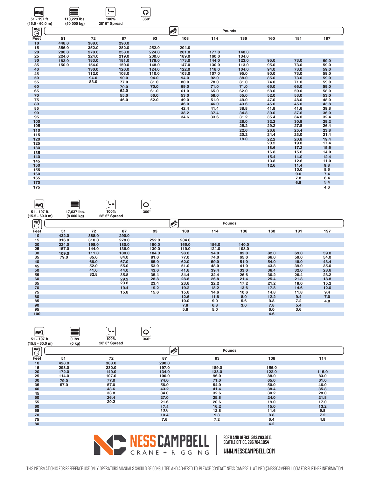| – Vii                             |                            |       | L.                    | ₽<br>$360^\circ$ |                |               |       |      |      |      |
|-----------------------------------|----------------------------|-------|-----------------------|------------------|----------------|---------------|-------|------|------|------|
| 51 - 197 ft.<br>$(15.5 - 60.0 m)$ | 110,229 lbs.<br>(50000 kg) |       | 100%<br>28' 6" Spread |                  |                |               |       |      |      |      |
|                                   |                            |       |                       |                  |                |               |       |      |      |      |
| <b>EWK</b><br>Ġ                   |                            |       |                       |                  | $\mathbb{R}^N$ | <b>Pounds</b> |       |      |      |      |
| Feet                              | 51                         | 72    | 87                    | 93               | 108            | 114           | 136   | 160  | 181  | 197  |
| 10                                | 448.0                      | 388.0 | 290.0                 |                  |                |               |       |      |      |      |
| 15                                | 356.0                      | 352.0 | 282.0                 | 252.0            | 204.0          |               |       |      |      |      |
| 20                                | 280.0                      | 278.0 | 258.0                 | 224.0            | 201.0          | 177.0         | 140.0 |      |      |      |
| 25                                | 224.0                      | 224.0 | 219.0                 | 200.0            | 189.0          | 160.0         | 134.0 |      |      |      |
| 30                                | 183.0                      | 183.0 | 181.0                 | 178.0            | 173.0          | 144.0         | 123.0 | 95.0 | 73.0 | 59.0 |
| 35                                | 150.0                      | 154.0 | 150.0                 | 148.0            | 147.0          | 130.0         | 113.0 | 95.0 | 73.0 | 59.0 |
| 40                                |                            | 130.0 | 126.0                 | 124.0            | 122.0          | 118.0         | 104.0 | 94.0 | 73.0 | 59.0 |
| 45                                |                            | 112.0 | 108.0                 | 110.0            | 103.0          | 107.0         | 95.0  | 90.0 | 73.0 | 59.0 |
| 50                                |                            | 94.0  | 90.0                  | 94.0             | 94.0           | 92.0          | 88.0  | 85.0 | 73.0 | 59.0 |
| 55                                |                            | 83.0  | 77.0                  | 81.0             | 80.0           | 78.0          | 81.0  | 74.0 | 71.0 | 59.0 |
| 60                                |                            |       | 70.0                  | 70.0             | 69.0           | 71.0          | 71.0  | 65.0 | 66.0 | 59.0 |
| 65                                |                            |       | 62.0                  | 61.0             | 61.0           | 65.0          | 62.0  | 58.0 | 59.0 | 58.0 |
| 70                                |                            |       | 55.0                  | 56.0             | 53.0           | 58.0          | 55.0  | 52.0 | 53.0 | 53.0 |
| 75                                |                            |       | 46.0                  | 52.0             | 49.0           | 51.0          | 49.0  | 47.0 | 48.0 | 48.0 |
| 80                                |                            |       |                       |                  | 46.0           | 46.0          | 43.6  | 45.0 | 45.0 | 43.8 |
| 85                                |                            |       |                       |                  | 42.4           | 41.4          | 38.8  | 41.8 | 41.6 | 39.8 |
| 90                                |                            |       |                       |                  | 38.2           | 37.4          | 34.8  | 39.0 | 37.6 | 36.0 |
| 95                                |                            |       |                       |                  | 34.6           | 33.6          | 31.2  | 35.4 | 34.0 | 32.4 |
| 100                               |                            |       |                       |                  |                |               | 28.0  | 32.2 | 30.8 | 29.2 |
| 105                               |                            |       |                       |                  |                |               | 25.2  | 29.2 | 27.8 | 26.4 |
| 110                               |                            |       |                       |                  |                |               | 22.6  | 26.6 | 25.4 | 23.8 |
| 115                               |                            |       |                       |                  |                |               | 20.2  | 24.4 | 23.0 | 21.4 |
| 120                               |                            |       |                       |                  |                |               | 18.0  | 22.2 | 20.8 | 19.4 |
| 125                               |                            |       |                       |                  |                |               |       | 20.2 | 19.0 | 17.4 |
| 130                               |                            |       |                       |                  |                |               |       | 18.6 | 17.2 | 15.6 |
| 135                               |                            |       |                       |                  |                |               |       | 16.8 | 15.6 | 14.0 |
| 140                               |                            |       |                       |                  |                |               |       | 15.4 | 14.0 | 12.4 |
| 145                               |                            |       |                       |                  |                |               |       | 13.8 | 12.6 | 11.0 |
| 150                               |                            |       |                       |                  |                |               |       | 12.6 | 11.4 | 9.8  |
| 155                               |                            |       |                       |                  |                |               |       |      | 10.0 | 8.6  |
| 160                               |                            |       |                       |                  |                |               |       |      | 9.0  | 7.4  |
| 165                               |                            |       |                       |                  |                |               |       |      | 7.8  | 6.4  |
| 170                               |                            |       |                       |                  |                |               |       |      | 6.8  | 5.4  |
| 175                               |                            |       |                       |                  |                |               |       |      |      | 4.6  |

| AV)                         |             |       | <u>ін на</u>  | W           |                |       |               |      |      |      |
|-----------------------------|-------------|-------|---------------|-------------|----------------|-------|---------------|------|------|------|
| 51 - 197 ft.                | 17,637 lbs. |       | 100%          | $360^\circ$ |                |       |               |      |      |      |
| $(15.5 - 60.0 m)$           | (8000 kg)   |       | 28' 6" Spread |             |                |       |               |      |      |      |
| $\blacksquare$<br>$\ominus$ |             |       |               |             | $\mathbb{R}^N$ |       | <b>Pounds</b> |      |      |      |
| Feet                        | 51          | 72    | 87            | 93          | 108            | 114   | 136           | 160  | 181  | 197  |
| 10                          | 432.0       | 388.0 | 290.0         |             |                |       |               |      |      |      |
| 15                          | 316.0       | 310.0 | 278.0         | 252.0       | 204.0          |       |               |      |      |      |
| 20                          | 224.0       | 198.0 | 180.0         | 180.0       | 165.0          | 156.0 | 140.0         |      |      |      |
| 25                          | 157.0       | 144.0 | 136.0         | 130.0       | 119.0          | 124.0 | 108.0         |      |      |      |
| 30                          | 109.0       | 111.0 | 100.0         | 104.0       | 98.0           | 94.0  | 82.0          | 82.0 | 69.0 | 59.0 |
| 35                          | 79.0        | 85.0  | 84.0          | 81.0        | 77.0           | 74.0  | 65.0          | 66.0 | 59.0 | 54.0 |
| 40                          |             | 66.0  | 67.0          | 65.0        | 62.0           | 59.0  | 51.0          | 54.0 | 48.0 | 43.4 |
| 45                          |             | 52.0  | 55.0          | 53.0        | 51.0           | 48.0  | 41.0          | 43.8 | 39.0 | 35.0 |
| 50                          |             | 41.6  | 44.0          | 43.6        | 41.6           | 39.4  | 33.0          | 36.4 | 32.0 | 28.6 |
| 55                          |             | 32.8  | 35.8          | 35.4        | 34.4           | 32.4  | 26.6          | 30.2 | 26.4 | 23.2 |
| 60                          |             |       | 29.2          | 28.8        | 28.8           | 26.8  | 21.4          | 25.4 | 21.8 | 18.8 |
| 65                          |             |       | 23.8          | 23.4        | 23.6           | 22.2  | 17.2          | 21.2 | 18.0 | 15.2 |
| 70                          |             |       | 19.4          | 19.2        | 19.2           | 18.2  | 13.6          | 17.8 | 14.6 | 12.0 |
| 75                          |             |       | 15.8          | 15.6        | 15.6           | 14.6  | 10.6          | 14.8 | 11.8 | 9.4  |
| 80                          |             |       |               |             | 12.6           | 11.6  | 8.0           | 12.2 | 9.4  | 7.0  |
| 85                          |             |       |               |             | 10.0           | 9.0   | 5.6           | 9.8  | 7.2  | 4.8  |
| 90                          |             |       |               |             | 7.8            | 6.8   | 3.6           | 7.8  | 5.4  |      |
| 95                          |             |       |               |             | 5.8            | 5.0   |               | 6.0  | 3.6  |      |
| 100                         |             |       |               |             |                |       |               | 4.6  |      |      |
|                             |             |       |               |             |                |       |               |      |      |      |

| $360^\circ$<br>51 - 197 ft.<br>0 lbs.<br>100%<br>$(0 \text{ kg})$<br>28' 6" Spread<br>$(15.5 - 60.0 m)$<br>$\overline{\mathbb{C}}$<br>卛<br>Pounds<br>87<br>Feet<br>51<br>72<br>93<br>108<br>114<br>10<br>388.0<br>290.0<br>428.0<br>15<br>189.0<br>156.0<br>298.0<br>230.0<br>197.0<br>20<br>122.0<br>149.0<br>134.0<br>115.0<br>172.0<br>133.0<br>25<br>88.0<br>83.0<br>107.0<br>96.0<br>114.0<br>100.0<br>30<br>65.0<br>77.0<br>74.0<br>71.0<br>61.0<br>79.0<br>35<br>46.0<br>57.0<br>57.0<br>56.0<br>54.0<br>50.0<br>40<br>43.6<br>38.4<br>35.8<br>43.2<br>41.4<br>33.8<br>28.0<br>34.0<br>32.6<br>30.2<br>45<br>50<br>26.4<br>25.8<br>24.0<br>21.8<br>27.0<br>20.2<br>55<br>21.6<br>20.6<br>19.0<br>17.0<br>60<br>15.0<br>13.2<br>16.2<br>17.4 | <b>AVI</b> |  | رپا  |      |      |     |
|----------------------------------------------------------------------------------------------------------------------------------------------------------------------------------------------------------------------------------------------------------------------------------------------------------------------------------------------------------------------------------------------------------------------------------------------------------------------------------------------------------------------------------------------------------------------------------------------------------------------------------------------------------------------------------------------------------------------------------------------------|------------|--|------|------|------|-----|
|                                                                                                                                                                                                                                                                                                                                                                                                                                                                                                                                                                                                                                                                                                                                                    |            |  |      |      |      |     |
|                                                                                                                                                                                                                                                                                                                                                                                                                                                                                                                                                                                                                                                                                                                                                    |            |  |      |      |      |     |
|                                                                                                                                                                                                                                                                                                                                                                                                                                                                                                                                                                                                                                                                                                                                                    |            |  |      |      |      |     |
|                                                                                                                                                                                                                                                                                                                                                                                                                                                                                                                                                                                                                                                                                                                                                    |            |  |      |      |      |     |
|                                                                                                                                                                                                                                                                                                                                                                                                                                                                                                                                                                                                                                                                                                                                                    |            |  |      |      |      |     |
|                                                                                                                                                                                                                                                                                                                                                                                                                                                                                                                                                                                                                                                                                                                                                    |            |  |      |      |      |     |
|                                                                                                                                                                                                                                                                                                                                                                                                                                                                                                                                                                                                                                                                                                                                                    |            |  |      |      |      |     |
|                                                                                                                                                                                                                                                                                                                                                                                                                                                                                                                                                                                                                                                                                                                                                    |            |  |      |      |      |     |
|                                                                                                                                                                                                                                                                                                                                                                                                                                                                                                                                                                                                                                                                                                                                                    |            |  |      |      |      |     |
|                                                                                                                                                                                                                                                                                                                                                                                                                                                                                                                                                                                                                                                                                                                                                    |            |  |      |      |      |     |
|                                                                                                                                                                                                                                                                                                                                                                                                                                                                                                                                                                                                                                                                                                                                                    |            |  |      |      |      |     |
|                                                                                                                                                                                                                                                                                                                                                                                                                                                                                                                                                                                                                                                                                                                                                    |            |  |      |      |      |     |
|                                                                                                                                                                                                                                                                                                                                                                                                                                                                                                                                                                                                                                                                                                                                                    |            |  |      |      |      |     |
|                                                                                                                                                                                                                                                                                                                                                                                                                                                                                                                                                                                                                                                                                                                                                    |            |  |      |      |      |     |
|                                                                                                                                                                                                                                                                                                                                                                                                                                                                                                                                                                                                                                                                                                                                                    |            |  |      |      |      |     |
|                                                                                                                                                                                                                                                                                                                                                                                                                                                                                                                                                                                                                                                                                                                                                    | 65         |  | 13.8 | 12.8 | 11.6 | 9.8 |
| 70<br>8.8<br>7.2<br>10.4<br>9.8                                                                                                                                                                                                                                                                                                                                                                                                                                                                                                                                                                                                                                                                                                                    |            |  |      |      |      |     |
| 4.8<br>75<br>7.6<br>7.2<br>6.4                                                                                                                                                                                                                                                                                                                                                                                                                                                                                                                                                                                                                                                                                                                     |            |  |      |      |      |     |
| 80<br>4.2                                                                                                                                                                                                                                                                                                                                                                                                                                                                                                                                                                                                                                                                                                                                          |            |  |      |      |      |     |

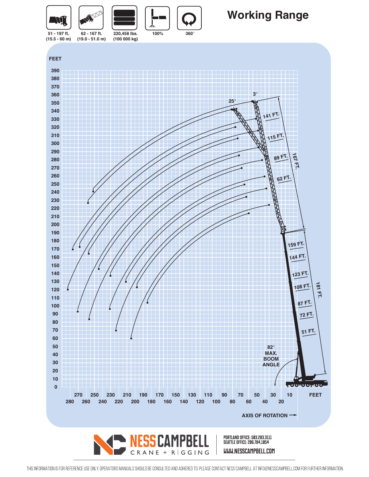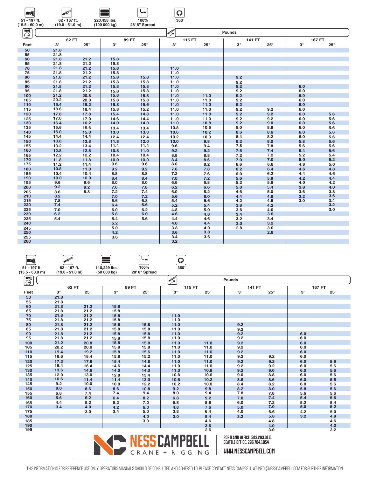| LNÍ                        | <b>ANTES</b>      |              |              |               | Q             |              |               |              |               |              |
|----------------------------|-------------------|--------------|--------------|---------------|---------------|--------------|---------------|--------------|---------------|--------------|
| 51 - 197 ft.               | 62 - 167 ft.      |              | 220,458 lbs. | 100%          | $360^\circ$   |              |               |              |               |              |
| $(15.5 - 60.0 m)$          | $(19.0 - 51.0 m)$ |              | (100000 kg)  | 28' 6" Spread |               |              |               |              |               |              |
| $\blacksquare$<br>$\Theta$ |                   |              |              |               | <b>AND DE</b> |              | <b>Pounds</b> |              |               |              |
|                            |                   | 62 FT        |              | 89 FT         |               | 115 FT       | 141 FT        |              | <b>167 FT</b> |              |
| Feet                       | $3^\circ$         | $25^{\circ}$ | $3^\circ$    | $25^{\circ}$  | $3^\circ$     | $25^{\circ}$ | $3^\circ$     | $25^{\circ}$ | $3^\circ$     | $25^{\circ}$ |
| 50                         | 21.8              |              |              |               |               |              |               |              |               |              |
| 55                         | 21.8              |              |              |               |               |              |               |              |               |              |
| 60                         | 21.8              | 21.2         | 15.8         |               |               |              |               |              |               |              |
| 65                         | 21.8              | 21.2         | 15.8         |               |               |              |               |              |               |              |
| 70<br>75                   | 21.8<br>21.8      | 21.2<br>21.2 | 15.8<br>15.8 |               | 11.0<br>11.0  |              |               |              |               |              |
| 80                         | 21.8              | 21.2         | 15.8         | 15.8          |               |              | 9.2           |              |               |              |
| 85                         | 21.8              | 21.2         | 15.8         | 15.8          | 11.0<br>11.0  |              | 9.2           |              |               |              |
| 90                         | 21.8              | 21.2         | 15.8         | 15.8          | 11.0          |              | 9.2           |              | 6.0           |              |
| 95                         | 21.8              | 21.2         | 15.8         | 15.8          | 11.0          |              | 9.2           |              | 6.0           |              |
| 100                        | 21.2              | 20.8         | 15.8         | 15.8          | 11.0          | 11.0         | 9.2           |              | 6.0           |              |
| 105                        | 20.2              | 20.0         | 15.8         | 15.8          | 11.0          | 11.0         | 9.2           |              | 6.0           |              |
| 110                        | 19.4              | 19.2         | 15.8         | 15.6          | 11.0          | 11.0         | 9.2           |              | 6.0           |              |
| 115                        | 18.6              | 18.4         | 15.8         | 15.2          | 11.0          | 11.0         | 9.2           | 9.2          | 6.0           |              |
| 120                        | 17.8              | 17.8         | 15.4         | 14.8          | 11.0          | 11.0         | 9.2           | 9.2          | 6.0           | 5.6          |
| 125                        | 17.0              | 17.0         | 14.6         | 14.4          | 11.0          | 11.0         | 9.2           | 9.2          | 6.0           | 5.6          |
| 130                        | 16.4              | 16.2         | 14.0         | 14.0          | 11.0          | 10.8         | 9.2           | 9.0          | 6.0           | 5.6          |
| 135                        | 15.6              | 15.6         | 13.4         | 13.4          | 10.8          | 10.6         | 9.0           | 8.8          | 6.0           | 5.6          |
| 140                        | 15.0              | 15.0         | 13.0         | 13.0          | 10.6          | 10.2         | 8.6           | 8.6          | 6.0           | 5.6          |
| 145                        | 14.4              | 14.4         | 12.4         | 12.4          | 10.2          | 10.0         | 8.4           | 8.2          | 6.0           | 5.6          |
| 150                        | 13.8              | 13.8         | 11.8         | 12.0          | 10.0          | 9.8          | 8.2           | 8.0          | 5.8           | 5.6          |
| 155                        | 13.2              | 13.4         | 11.4         | 11.4          | 9.6           | 9.4          | 7.8           | 7.8          | 5.6           | 5.6          |
| 160                        | 12.8              | 12.8         | 10.8         | 11.0          | 9.2           | 9.2          | 7.6           | 7.4          | 5.4           | 5.6          |
| 165                        | 12.2              | 12.2         | 10.4         | 10.4          | 8.8           | 8.8          | 7.2           | 7.2          | 5.2           | 5.4          |
| 170<br>175                 | 11.8              | 11.8         | 10.0         | 10.0          | 8.4           | 8.6          | 7.0           | 7.0          | 5.0           | 5.2          |
| 180                        | 11.2<br>10.8      | 11.4<br>11.0 | 9.6<br>9.2   | 9.6<br>9.2    | 8.0<br>7.6    | 8.2<br>7.8   | 6.6<br>6.2    | 6.6<br>6.4   | 4.8<br>4.6    | 5.0<br>4.8   |
| 185                        | 10.4              | 10.4         | 8.8          | 8.8           | 7.2           | 7.6          | 6.0           | 6.2          | 4.4           | 4.6          |
| 190                        | 10.0              | 10.0         | 8.4          | 8.4           | 7.0           | 7.2          | 5.6           | 5.8          | 4.2           | 4.4          |
| 195                        | 9.6               | 9.6          | 8.0          | 8.0           | 6.6           | 6.8          | 5.2           | 5.6          | 4.0           | 4.2          |
| 200                        | 9.2               | 9.2          | 7.6          | 7.8           | 6.2           | 6.6          | 5.0           | 5.4          | 3.8           | 4.0          |
| 205                        | 8.6               | 8.8          | 7.2          | 7.4           | 6.0           | 6.2          | 4.6           | 5.0          | 3.6           | 3.8          |
| 210                        | 8.2               |              | 7.0          | 7.2           | 5.6           | 6.0          | 4.4           | 4.8          | 3.2           | 3.6          |
| 215                        | 7.8               |              | 6.6          | 6.8           | 5.4           | 5.6          | 4.2           | 4.6          | 3.0           | 3.4          |
| 220                        | 7.4               |              | 6.4          | 6.6           | 5.2           | 5.4          | 3.8           | 4.2          |               | 3.2          |
| 225                        | 7.0               |              | 6.0          | 6.2           | 4.8           | 5.0          | 3.6           | 4.0          |               | 3.0          |
| 230                        | 6.2               |              | 5.8          | 6.0           | 4.6           | 4.8          | 3.4           | 3.6          |               |              |
| 235                        | 5.4               |              | 5.4          | 5.6           | 4.4           | 4.6          | 3.2           | 3.4          |               |              |
| 240                        |                   |              | 5.2          |               | 4.0           | 4.4          | 3.0           | 3.2          |               |              |
| 245                        |                   |              | 5.0          |               | 3.8           | 4.0          | 2.8           | 3.0          |               |              |
| 250                        |                   |              | 4.2<br>3.6   |               | 3.6<br>3.4    | 3.8<br>3.6   |               | 2.8          |               |              |
| 255<br>260                 |                   |              |              |               | 3.2           |              |               |              |               |              |
|                            |                   |              |              |               |               |              |               |              |               |              |

| $\blacksquare$    | <b>SIVE OF</b>    |            |              | Ţ.            | Q                  |            |                                                                      |              |           |               |
|-------------------|-------------------|------------|--------------|---------------|--------------------|------------|----------------------------------------------------------------------|--------------|-----------|---------------|
| 51 - 197 ft.      | 62 - 167 ft.      |            | 110,229 lbs. | 100%          | $360^\circ$        |            |                                                                      |              |           |               |
| $(15.5 - 60.0 m)$ | $(19.0 - 51.0 m)$ |            | (50000 kg)   | 28' 6" Spread |                    |            |                                                                      |              |           |               |
| EW<br>Ğ           |                   |            |              |               | <b>ANY ROAD</b>    |            | Pounds                                                               |              |           |               |
|                   | 62 FT             |            |              | 89 FT         | <b>115 FT</b>      |            | <b>141 FT</b>                                                        |              |           | <b>167 FT</b> |
| Feet              | $3^\circ$         | $25^\circ$ | $3^\circ$    | $25^{\circ}$  | $3^\circ$          | $25^\circ$ | $3^\circ$                                                            | $25^{\circ}$ | $3^\circ$ | $25^{\circ}$  |
| 50                | 21.8              |            |              |               |                    |            |                                                                      |              |           |               |
| 55                | 21.8              |            |              |               |                    |            |                                                                      |              |           |               |
| 60                | 21.8              | 21.2       | 15.8         |               |                    |            |                                                                      |              |           |               |
| 65                | 21.8              | 21.2       | 15.8         |               |                    |            |                                                                      |              |           |               |
| 70                | 21.8              | 21.2       | 15.8         |               | 11.0               |            |                                                                      |              |           |               |
| 75                | 21.8              | 21.2       | 15.8         |               | 11.0               |            |                                                                      |              |           |               |
| 80                | 21.8              | 21.2       | 15.8         | 15.8          | 11.0               |            | 9.2                                                                  |              |           |               |
| 85                | 21.8              | 21.2       | 15.8         | 15.8          | 11.0               |            | 9.2                                                                  |              |           |               |
| 90                | 21.8              | 21.2       | 15.8         | 15.8          | 11.0               |            | 9.2                                                                  |              | 6.0       |               |
| 95                | 21.8              | 21.2       | 15.8         | 15.8          | 11.0               |            | 9.2                                                                  |              | 6.0       |               |
| 100               | 21.2              | 20.8       | 15.8         | 15.8          | 11.0               | 11.0       | 9.2                                                                  |              | 6.0       |               |
| 105               | 20.2              | 20.0       | 15.8         | 15.8          | 11.0               | 11.0       | 9.2                                                                  |              | 6.0       |               |
| 110               | 19.4              | 19.2       | 15.8         | 15.6          | 11.0               | 11.0       | 9.2                                                                  |              | 6.0       |               |
| 115               | 18.6              | 18.4       | 15.8         | 15.2          | 11.0               | 11.0       | 9.2                                                                  | 9.2          | 6.0       |               |
| 120               | 17.2              | 17.8       | 15.4         | 14.8          | 11.0               | 11.0       | 9.2                                                                  | 9.2          | 6.0       | 5.6           |
| 125               | 15.4              | 16.4       | 14.6         | 14.4          | 11.0               | 11.0       | 9.2                                                                  | 9.2          | 6.0       | 5.6           |
| 130               | 13.6              | 14.6       | 14.0         | 14.0          | 11.0               | 10.8       | 9.2                                                                  | 9.0          | 6.0       | 5.6           |
| 135               | 12.0              | 13.0       | 12.8         | 13.4          | 10.8               | 10.6       | 9.0                                                                  | 8.8          | 6.0       | 5.6           |
| 140               | 10.6              | 11.4       | 11.4         | 13.0          | 10.6               | 10.2       | 8.6                                                                  | 8.6          | 6.0       | 5.6           |
| 145               | 9.2               | 10.0       | 10.0         | 12.2          | 10.2               | 10.0       | 8.4                                                                  | 8.2          | 6.0       | 5.6           |
| 150               | 8.0               | 8.6        | 8.6          | 10.8          | 9.2                | 9.8        | 8.2                                                                  | 8.0          | 5.8       | 5.6           |
| 155               | 6.8               | 7.4        | 7.4          | 9.4           | 8.0                | 9.4        | 7.8                                                                  | 7.8          | 5.6       | 5.6           |
| 160               | 5.6               | 6.2        | 6.4          | 8.2           | 6.8                | 9.2        | 7.0                                                                  | 7.4          | 5.4       | 5.6           |
| 165               | 4.4               | 5.2        | 5.2          | 7.0           | 5.8                | 8.8        | 6.0                                                                  | 7.2          | 5.2       | 5.4           |
| 170               | 3.4               | 4.0        | 4.2          | 6.0           | 4.8                | 7.6        | 5.0                                                                  | 7.0          | 5.0       | 5.2           |
| 175               |                   | 3.0        | 3.4          | 5.0           | 3.8                | 6.4        | 4.0                                                                  | 6.6          | 4.2       | 5.0           |
| 180               |                   |            |              | 4.0           | 3.0                | 5.4        | 3.2                                                                  | 5.8          | 3.2       | 4.8           |
| 185               |                   |            |              | 3.0           |                    | 4.6        |                                                                      | 4.8          |           | 4.6           |
| 190               |                   |            |              |               |                    | 3.6        |                                                                      | 4.0          |           | 4.2           |
| 195               |                   |            |              |               |                    | 2.6        |                                                                      | 3.0          |           | 3.2           |
|                   |                   |            |              |               | <b>FSS CAMPREL</b> |            | PORTLAND OFFICE: 503.283.3111<br><b>SEATTLE OFFICE: 206.784.1054</b> |              |           |               |

**www.nesscampbell.com**

This information is for reference use only. operators manuals should be consulted and adhered to. please contact ness campbell at info@nesscampbell.com for further information.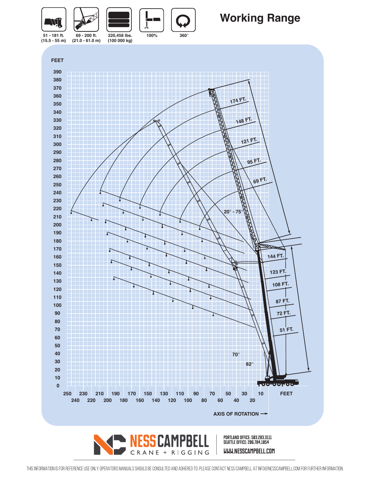

## **Working Range**



CRANE + RIGGING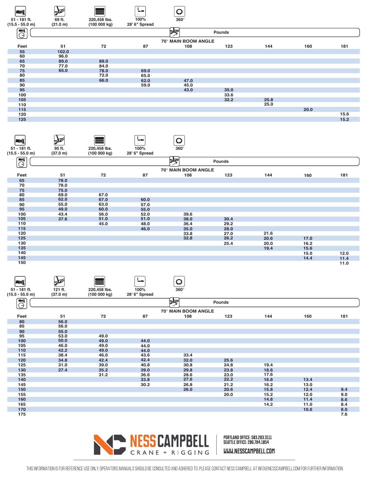

| <b>Avit</b>            | <b>AND</b> |              | ie en         |                     |        |      |      |      |
|------------------------|------------|--------------|---------------|---------------------|--------|------|------|------|
| 51 - 181 ft.           | 95 ft.     | 220,458 lbs. | 100%          | $360^\circ$         |        |      |      |      |
| $(15.5 - 55.0 m)$      | (37.0 m)   | (100 000 kg) | 28' 6" Spread |                     |        |      |      |      |
| <b>ENG</b><br>$\Theta$ |            |              |               | ko                  | Pounds |      |      |      |
|                        |            |              |               | 70° MAIN BOOM ANGLE |        |      |      |      |
| Feet                   | 51         | 72           | 87            | 108                 | 123    | 144  | 160  | 181  |
| 65                     | 78.0       |              |               |                     |        |      |      |      |
| 70                     | 78.0       |              |               |                     |        |      |      |      |
| 75                     | 75.0       |              |               |                     |        |      |      |      |
| 80                     | 69.0       | 67.0         |               |                     |        |      |      |      |
| 85                     | 62.0       | 67.0         | 60.0          |                     |        |      |      |      |
| 90                     | 55.0       | 63.0         | 57.0          |                     |        |      |      |      |
| 95                     | 49.0       | 60.0         | 55.0          |                     |        |      |      |      |
| 100                    | 43.4       | 56.0         | 52.0          | 39.6                |        |      |      |      |
| 105                    | 37.6       | 51.0         | 51.0          | 38.0                | 30.4   |      |      |      |
| 110                    |            | 45.0         | 48.0          | 36.4                | 29.2   |      |      |      |
| 115                    |            |              | 46.0          | 35.0                | 28.0   |      |      |      |
| 120                    |            |              |               | 33.8                | 27.0   | 21.6 |      |      |
| 125                    |            |              |               | 32.8                | 26.2   | 20.6 | 17.0 |      |
| 130                    |            |              |               |                     | 25.4   | 20.0 | 16.2 |      |
| 135                    |            |              |               |                     |        | 19.4 | 15.6 |      |
| 140                    |            |              |               |                     |        |      | 15.0 | 12.0 |
| 145                    |            |              |               |                     |        |      | 14.4 | 11.4 |
| 150                    |            |              |               |                     |        |      |      | 11.0 |

| -71.<br>51 - 181 ft.<br>$(15.5 - 55.0 m)$ | <b>AND</b><br>121 ft.<br>(37.0 m) | 220,458 lbs.<br>(100 000 kg) | bн.<br>100%<br>28' 6" Spread | Q<br>$360^\circ$    |               |      |      |     |
|-------------------------------------------|-----------------------------------|------------------------------|------------------------------|---------------------|---------------|------|------|-----|
| <b>AVI</b>                                |                                   |                              |                              |                     |               |      |      |     |
| $\ominus$                                 |                                   |                              |                              | M                   | <b>Pounds</b> |      |      |     |
|                                           |                                   |                              |                              | 70° MAIN BOOM ANGLE |               |      |      |     |
| Feet                                      | 51                                | 72                           | 87                           | 108                 | 123           | 144  | 160  | 181 |
| 80                                        | 56.0                              |                              |                              |                     |               |      |      |     |
| 85                                        | 56.0                              |                              |                              |                     |               |      |      |     |
| 90                                        | 55.0                              |                              |                              |                     |               |      |      |     |
| 95                                        | 53.0                              | 49.0                         |                              |                     |               |      |      |     |
| 100                                       | 50.0                              | 49.0                         | 44.0                         |                     |               |      |      |     |
| 105                                       | 46.0                              | 49.0                         | 44.0                         |                     |               |      |      |     |
| 110                                       | 42.2                              | 49.0                         | 44.0                         |                     |               |      |      |     |
| 115                                       | 38.4                              | 46.0                         | 43.6                         | 33.4                |               |      |      |     |
| 120                                       | 34.8                              | 42.4                         | 42.4                         | 32.0                | 25.6          |      |      |     |
| 125                                       | 31.0                              | 39.0                         | 40.8                         | 30.8                | 24.8          | 19.4 |      |     |
| 130                                       | 27.4                              | 35.2                         | 39.0                         | 29.8                | 23.8          | 18.6 |      |     |
| 135                                       |                                   | 31.2                         | 36.6                         | 28.6                | 23.0          | 17.6 |      |     |
| 140                                       |                                   |                              | 33.8                         | 27.6                | 22.2          | 16.8 | 13.4 |     |
| 145                                       |                                   |                              | 30.2                         | 26.8                | 21.2          | 16.2 | 13.0 |     |
| 150                                       |                                   |                              |                              | 26.0                | 20.6          | 15.8 | 12.4 | 9.4 |
| 155                                       |                                   |                              |                              |                     | 20.0          | 15.2 | 12.0 | 9.0 |
| 160                                       |                                   |                              |                              |                     |               | 14.8 | 11.4 | 8.6 |
| 165                                       |                                   |                              |                              |                     |               | 14.2 | 11.0 | 8.4 |
| 170                                       |                                   |                              |                              |                     |               |      | 10.6 | 8.0 |
| 175                                       |                                   |                              |                              |                     |               |      |      | 7.6 |

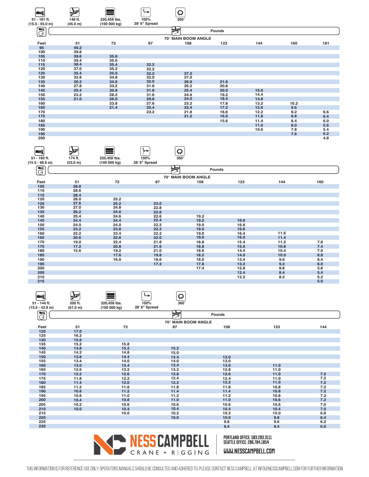| WÎ                | <b>AND</b> |              | L.            | Q                   |        |      |      |     |
|-------------------|------------|--------------|---------------|---------------------|--------|------|------|-----|
| 51 - 181 ft.      | 148 ft.    | 220,458 lbs. | 100%          | $360^\circ$         |        |      |      |     |
| $(15.5 - 55.0 m)$ | (45.0 m)   | (100 000 kg) | 28' 6" Spread |                     |        |      |      |     |
| <b>EWI</b><br>Θ   |            |              |               | ≫ৰ                  | Pounds |      |      |     |
|                   |            |              |               | 70° MAIN BOOM ANGLE |        |      |      |     |
| Feet              | 51         | 72           | 87            | 108                 | 123    | 144  | 160  | 181 |
| 95                | 40.2       |              |               |                     |        |      |      |     |
| 100               | 39.8       |              |               |                     |        |      |      |     |
| 105               | 39.6       | 35.8         |               |                     |        |      |      |     |
| 110               | 39.4       | 35.6         |               |                     |        |      |      |     |
| 115               | 38.4       | 35.4         | 32.2          |                     |        |      |      |     |
| 120               | 37.0       | 35.2         | 32.2          |                     |        |      |      |     |
| 125               | 35.4       | 35.0         | 32.2          | 27.2                |        |      |      |     |
| 130               | 32.8       | 34.8         | 32.0          | 27.0                |        |      |      |     |
| 135               | 30.2       | 34.6         | 32.0          | 26.6                | 21.6   |      |      |     |
| 140               | 27.8       | 33.2         | 31.8          | 26.2                | 20.8   |      |      |     |
| 145               | 25.4       | 30.8         | 31.8          | 25.4                | 20.0   | 15.0 |      |     |
| 150               | 23.2       | 28.2         | 31.6          | 24.6                | 19.2   | 14.4 |      |     |
| 155               | 21.0       | 26.0         | 29.8          | 24.0                | 18.4   | 13.8 |      |     |
| 160               |            | 23.8         | 27.6          | 23.2                | 17.8   | 13.2 | 10.2 |     |
| 165               |            | 21.4         | 25.4          | 22.4                | 17.2   | 12.6 | 9.6  |     |
| 170               |            |              | 23.2          | 21.8                | 16.6   | 12.2 | 9.2  | 6.6 |
| 175               |            |              |               | 21.2                | 16.0   | 11.8 | 8.8  | 6.4 |
| 180               |            |              |               |                     | 15.6   | 11.4 | 8.4  | 6.0 |
| 185               |            |              |               |                     |        | 11.0 | 8.0  | 5.6 |
| 190               |            |              |               |                     |        | 10.6 | 7.8  | 5.4 |
| 195               |            |              |               |                     |        |      | 7.6  | 5.2 |
| 200               |            |              |               |                     |        |      |      | 4.8 |

| $\blacksquare$         | $\rightarrow$ |              | ben.          | Q                   |        |      |     |
|------------------------|---------------|--------------|---------------|---------------------|--------|------|-----|
| 51 - 160 ft.           | 174 ft.       | 220,458 lbs. | 100%          | $360^\circ$         |        |      |     |
| $(15.5 - 48.8$ m)      | (53.0 m)      | (100 000 kg) | 28' 6" Spread |                     |        |      |     |
| <b>EWK</b><br><u>0</u> |               |              |               | k⊌                  | Pounds |      |     |
|                        |               |              |               | 70° MAIN BOOM ANGLE |        |      |     |
| Feet                   | 51            | 72           | 87            | 108                 | 123    | 144  | 160 |
| 105                    | 28.8          |              |               |                     |        |      |     |
| 110                    | 28.6          |              |               |                     |        |      |     |
| 115                    | 28.4          |              |               |                     |        |      |     |
| 120                    | 28.0          | 25.2         |               |                     |        |      |     |
| 125                    | 27.6          | 25.2         | 23.0          |                     |        |      |     |
| 130                    | 27.0          | 24.8         | 22.8          |                     |        |      |     |
| 135                    | 26.2          | 24.6         | 22.8          |                     |        |      |     |
| 140                    | 25.4          | 24.6         | 22.6          | 19.2                |        |      |     |
| 145                    | 24.4          | 24.4         | 22.4          | 19.2                | 16.6   |      |     |
| 150                    | 24.0          | 24.0         | 22.2          | 19.0                | 16.6   |      |     |
| 155                    | 23.2          | 23.8         | 22.2          | 19.0                | 16.6   |      |     |
| 160                    | 22.2          | 23.4         | 22.2          | 19.0                | 16.4   | 11.6 |     |
| 165                    | 20.6          | 22.8         | 22.0          | 19.0                | 16.0   | 11.4 |     |
| 170                    | 19.0          | 22.4         | 21.8          | 18.8                | 15.4   | 11.2 | 7.8 |
| 175                    | 17.2          | 20.8         | 21.6          | 18.8                | 15.0   | 10.8 | 7.4 |
| 180                    | 15.6          | 19.2         | 21.0          | 18.6                | 14.4   | 10.4 | 7.0 |
| 185                    |               | 17.6         | 19.8          | 18.2                | 14.0   | 10.0 | 6.8 |
| 190                    |               | 16.0         | 18.6          | 18.0                | 13.4   | 9.6  | 6.4 |
| 195                    |               |              | 17.2          | 17.8                | 13.2   | 9.2  | 6.0 |
| 200                    |               |              |               | 17.4                | 12.8   | 8.8  | 5.8 |
| 205                    |               |              |               |                     | 12.4   | 8.4  | 5.4 |
| 210                    |               |              |               |                     | 12.2   | 8.2  | 5.2 |
| 215                    |               |              |               |                     |        |      | 5.0 |
|                        |               |              |               |                     |        |      |     |

 $\epsilon$ 

 $\sqrt{ }$ 

Ċ

 $\sigma$  $\overline{\phantom{0}}$ 



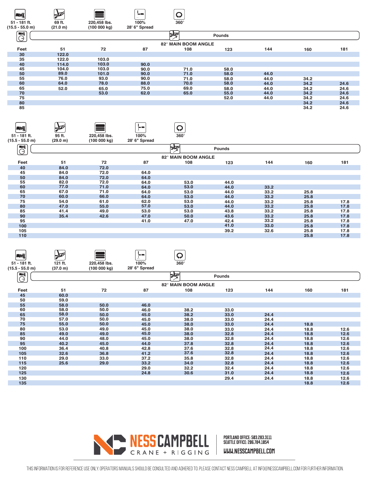

| <b>ANT</b>                    | <b>North Company</b> |              | in m          | $\boldsymbol{\mathsf{Q}}$ |        |      |      |      |
|-------------------------------|----------------------|--------------|---------------|---------------------------|--------|------|------|------|
| 51 - 181 ft.                  | 95 ft.               | 220,458 lbs. | 100%          | $360^\circ$               |        |      |      |      |
| $(15.5 - 55.0 m)$             | (29.0 m)             | (100 000 kg) | 28' 6" Spread |                           |        |      |      |      |
| $\blacksquare$<br>$\varTheta$ |                      |              |               | ৮⊠                        | Pounds |      |      |      |
|                               |                      |              |               | 82° MAIN BOOM ANGLE       |        |      |      |      |
| Feet                          | 51                   | 72           | 87            | 108                       | 123    | 144  | 160  | 181  |
| 40                            | 84.0                 | 72.0         |               |                           |        |      |      |      |
| 45                            | 84.0                 | 72.0         | 64.0          |                           |        |      |      |      |
| 50                            | 84.0                 | 72.0         | 64.0          |                           |        |      |      |      |
| 55                            | 82.0                 | 72.0         | 64.0          | 53.0                      | 44.0   |      |      |      |
| 60                            | 77.0                 | 71.0         | 64.0          | 53.0                      | 44.0   | 33.2 |      |      |
| 65                            | 67.0                 | 71.0         | 64.0          | 53.0                      | 44.0   | 33.2 | 25.8 |      |
| 70                            | 60.0                 | 66.0         | 64.0          | 53.0                      | 44.0   | 33.2 | 25.8 |      |
| 75                            | 54.0                 | 61.0         | 62.0          | 53.0                      | 44.0   | 33.2 | 25.8 | 17.8 |
| 80                            | 47.0                 | 55.0         | 57.0          | 53.0                      | 44.0   | 33.2 | 25.8 | 17.8 |
| 85                            | 41.4                 | 49.0         | 53.0          | 53.0                      | 43.8   | 33.2 | 25.8 | 17.8 |
| 90                            | 35.4                 | 42.6         | 47.0          | 50.0                      | 43.6   | 33.2 | 25.8 | 17.8 |
| 95                            |                      |              | 41.0          | 47.0                      | 42.4   | 33.2 | 25.8 | 17.8 |
| 100                           |                      |              |               |                           | 41.0   | 33.0 | 25.8 | 17.8 |
| 105                           |                      |              |               |                           | 39.2   | 32.6 | 25.8 | 17.8 |
| 110                           |                      |              |               |                           |        |      | 25.8 | 17.8 |

| <b>AVI</b> |                            | <b>CONTROL</b> |              | ⋤╼            | Q                   |        |      |      |      |
|------------|----------------------------|----------------|--------------|---------------|---------------------|--------|------|------|------|
|            | 51 - 181 ft.               | 121 ft.        | 220,458 lbs. | 100%          | $360^\circ$         |        |      |      |      |
|            | $(15.5 - 55.0 m)$          | (37.0 m)       | (100 000 kg) | 28' 6" Spread |                     |        |      |      |      |
|            | $\blacksquare$<br>$\Theta$ |                |              |               | ৯⊅                  | Pounds |      |      |      |
|            |                            |                |              |               | 82° MAIN BOOM ANGLE |        |      |      |      |
|            | Feet                       | 51             | 72           | 87            | 108                 | 123    | 144  | 160  | 181  |
|            | 45                         | 60.0           |              |               |                     |        |      |      |      |
|            | 50                         | 59.0           |              |               |                     |        |      |      |      |
|            | 55                         | 58.0           | 50.0         | 46.0          |                     |        |      |      |      |
|            | 60                         | 58.0           | 50.0         | 46.0          | 38.2                | 33.0   |      |      |      |
|            | 65                         | 58.0           | 50.0         | 45.0          | 38.2                | 33.0   | 24.4 |      |      |
|            | 70                         | 57.0           | 50.0         | 45.0          | 38.0                | 33.0   | 24.4 |      |      |
|            | 75                         | 55.0           | 50.0         | 45.0          | 38.0                | 33.0   | 24.4 | 18.8 |      |
|            | 80                         | 53.0           | 49.0         | 45.0          | 38.0                | 33.0   | 24.4 | 18.8 | 12.6 |
|            | 85                         | 49.0           | 49.0         | 45.0          | 38.0                | 32.8   | 24.4 | 18.8 | 12.6 |
|            | 90                         | 44.0           | 48.0         | 45.0          | 38.0                | 32.8   | 24.4 | 18.8 | 12.6 |
|            | 95                         | 40.2           | 45.0         | 44.0          | 37.8                | 32.8   | 24.4 | 18.8 | 12.6 |
|            | 100                        | 36.4           | 40.8         | 42.8          | 37.6                | 32.8   | 24.4 | 18.8 | 12.6 |
|            | 105                        | 32.6           | 36.8         | 41.2          | 37.6                | 32.8   | 24.4 | 18.8 | 12.6 |
|            | 110                        | 29.0           | 33.0         | 37.2          | 35.8                | 32.8   | 24.4 | 18.8 | 12.6 |
|            | 115                        | 25.6           | 29.0         | 33.2          | 34.0                | 32.8   | 24.4 | 18.8 | 12.6 |
|            | 120                        |                |              | 29.0          | 32.2                | 32.4   | 24.4 | 18.8 | 12.6 |
|            | 125                        |                |              | 24.8          | 30.6                | 31.0   | 24.4 | 18.8 | 12.6 |
|            | 130                        |                |              |               |                     | 29.4   | 24.4 | 18.8 | 12.6 |
|            | 135                        |                |              |               |                     |        |      | 18.8 | 12.6 |
|            |                            |                |              |               |                     |        |      |      |      |

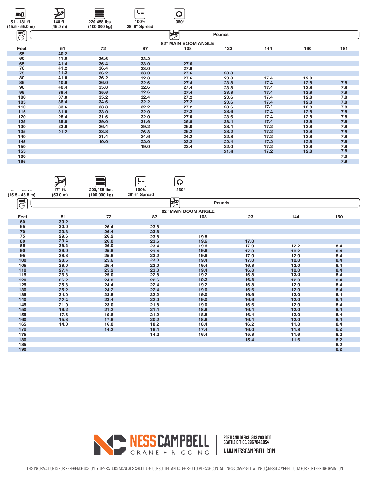| l Zij              | <b>Note</b> |              | <u>— —</u>    |                     |        |      |      |     |
|--------------------|-------------|--------------|---------------|---------------------|--------|------|------|-----|
| 51 - 181 ft.       | 148 ft.     | 220,458 lbs. | 100%          | $360^\circ$         |        |      |      |     |
| $(15.5 - 55.0)$ m) | (45.0 m)    | (100 000 kg) | 28' 6" Spread |                     |        |      |      |     |
| EW<br>$\ominus$    |             |              |               | ≽তা                 | Pounds |      |      |     |
|                    |             |              |               | 82° MAIN BOOM ANGLE |        |      |      |     |
| Feet               | 51          | 72           | 87            | 108                 | 123    | 144  | 160  | 181 |
| 55                 | 40.2        |              |               |                     |        |      |      |     |
| 60                 | 41.8        | 36.6         | 33.2          |                     |        |      |      |     |
| 65                 | 41.4        | 36.4         | 33.0          | 27.6                |        |      |      |     |
| 70                 | 41.2        | 36.4         | 33.0          | 27.6                |        |      |      |     |
| 75                 | 41.2        | 36.2         | 33.0          | 27.6                | 23.8   |      |      |     |
| 80                 | 41.0        | 36.2         | 32.8          | 27.6                | 23.8   | 17.4 | 12.8 |     |
| 85                 | 40.6        | 36.0         | 32.6          | 27.4                | 23.8   | 17.4 | 12.8 | 7.8 |
| 90                 | 40.4        | 35.8         | 32.6          | 27.4                | 23.8   | 17.4 | 12.8 | 7.8 |
| 95                 | 39.4        | 35.6         | 32.6          | 27.4                | 23.8   | 17.4 | 12.8 | 7.8 |
| 100                | 37.8        | 35.2         | 32.4          | 27.2                | 23.6   | 17.4 | 12.8 | 7.8 |
| 105                | 36.4        | 34.6         | 32.2          | 27.2                | 23.6   | 17.4 | 12.8 | 7.8 |
| 110                | 33.6        | 33.8         | 32.2          | 27.2                | 23.6   | 17.4 | 12.8 | 7.8 |
| 115                | 31.0        | 33.0         | 32.0          | 27.2                | 23.6   | 17.4 | 12.8 | 7.8 |
| 120                | 28.4        | 31.6         | 32.0          | 27.0                | 23.6   | 17.4 | 12.8 | 7.8 |
| 125                | 25.8        | 29.0         | 31.6          | 26.8                | 23.4   | 17.4 | 12.8 | 7.8 |
| 130                | 23.6        | 26.4         | 29.2          | 26.0                | 23.4   | 17.2 | 12.8 | 7.8 |
| 135                | 21.2        | 23.8         | 26.8          | 25.2                | 23.2   | 17.2 | 12.8 | 7.8 |
| 140                |             | 21.4         | 24.6          | 24.2                | 22.8   | 17.2 | 12.8 | 7.8 |
| 145                |             | 19.0         | 22.0          | 23.2                | 22.4   | 17.2 | 12.8 | 7.8 |
| 150                |             |              | 19.0          | 22.4                | 22.0   | 17.2 | 12.8 | 7.8 |
| 155                |             |              |               |                     | 21.6   | 17.2 | 12.8 | 7.8 |
| 160                |             |              |               |                     |        |      |      | 7.8 |
| 165                |             |              |               |                     |        |      |      | 7.8 |
|                    |             |              |               |                     |        |      |      |     |

|                   | $\frac{1}{2}$ |              | in m          | Q                     |               |      |     |
|-------------------|---------------|--------------|---------------|-----------------------|---------------|------|-----|
| UT TUUTG          | 174 ft.       | 220,458 lbs. | 100%          | $360^\circ$           |               |      |     |
| $(15.5 - 48.8 m)$ | (53.0 m)      | (100 000 kg) | 28' 6" Spread |                       |               |      |     |
| $\blacksquare$    |               |              |               |                       |               |      |     |
| ⊖                 |               |              |               | $\blacktriangleright$ | <b>Pounds</b> |      |     |
|                   |               |              |               | 82° MAIN BOOM ANGLE   |               |      |     |
| Feet              | 51            | 72           | 87            | 108                   | 123           | 144  | 160 |
| 60                | 30.2          |              |               |                       |               |      |     |
| 65                | 30.0          | 26.4         | 23.8          |                       |               |      |     |
| 70                | 29.8          | 26.4         | 23.8          |                       |               |      |     |
| 75                | 29.6          | 26.2         | 23.8          | 19.8                  |               |      |     |
| 80                | 29.4          | 26.0         | 23.6          | 19.6                  | 17.0          |      |     |
| 85                | 29.2          | 26.0         | 23.4          | 19.6                  | 17.0          | 12.2 | 8.4 |
| 90                | 29.0          | 25.8         | 23.4          | 19.6                  | 17.0          | 12.2 | 8.4 |
| 95                | 28.8          | 25.6         | 23.2          | 19.6                  | 17.0          | 12.0 | 8.4 |
| 100               | 28.6          | 25.6         | 23.0          | 19.4                  | 17.0          | 12.0 | 8.4 |
| 105               | 28.0          | 25.4         | 23.0          | 19.4                  | 16.8          | 12.0 | 8.4 |
| 110               | 27.4          | 25.2         | 23.0          | 19.4                  | 16.8          | 12.0 | 8.4 |
| 115               | 26.8          | 25.0         | 22.8          | 19.2                  | 16.8          | 12.0 | 8.4 |
| 120               | 26.2          | 24.8         | 22.6          | 19.2                  | 16.8          | 12.0 | 8.4 |
| 125               | 25.8          | 24.4         | 22.4          | 19.2                  | 16.8          | 12.0 | 8.4 |
| 130               | 25.2          | 24.2         | 22.4          | 19.0                  | 16.6          | 12.0 | 8.4 |
| 135               | 24.0          | 23.8         | 22.2          | 19.0                  | 16.6          | 12.0 | 8.4 |
| 140               | 22.4          | 23.4         | 22.0          | 19.0                  | 16.6          | 12.0 | 8.4 |
| 145               | 21.0          | 23.0         | 21.8          | 19.0                  | 16.6          | 12.0 | 8.4 |
| 150               | 19.2          | 21.2         | 21.4          | 18.8                  | 16.4          | 12.0 | 8.4 |
| 155               | 17.6          | 19.6         | 21.2          | 18.8                  | 16.4          | 12.0 | 8.4 |
| 160               | 15.8          | 17.8         | 20.2          | 18.6                  | 16.4          | 12.0 | 8.4 |
| 165               | 14.0          | 16.0         | 18.2          | 18.4                  | 16.2          | 11.8 | 8.4 |
| 170               |               | 14.2         | 16.4          | 17.4                  | 16.0          | 11.8 | 8.2 |
| 175               |               |              | 14.2          | 16.4                  | 15.8          | 11.6 | 8.2 |
| 180               |               |              |               |                       | 15.4          | 11.6 | 8.2 |
| 185               |               |              |               |                       |               |      | 8.2 |
| 190               |               |              |               |                       |               |      | 8.2 |
|                   |               |              |               |                       |               |      |     |

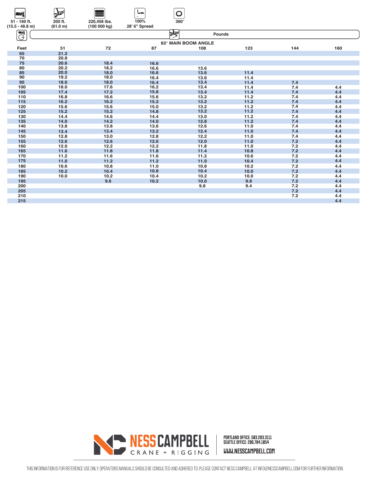| –vi               | $\mathcal{L}$ |              |               |                                        |      |     |     |
|-------------------|---------------|--------------|---------------|----------------------------------------|------|-----|-----|
| 51 - 160 ft.      | 200 ft.       | 220,458 lbs. | 100%          | $360^\circ$                            |      |     |     |
| $(15.5 - 48.8 m)$ | (61.0 m)      | (100000kg)   | 28' 6" Spread |                                        |      |     |     |
|                   |               |              |               |                                        |      |     |     |
| $\blacksquare$    |               |              |               | $\blacktriangleright$<br><b>Pounds</b> |      |     |     |
| $\ominus$         |               |              |               | 82° MAIN BOOM ANGLE                    |      |     |     |
| Feet              | 51            | 72           | 87            | 108                                    | 123  | 144 | 160 |
| 65                | 21.2          |              |               |                                        |      |     |     |
| 70                | 20.8          |              |               |                                        |      |     |     |
| 75                | 20.6          | 18.4         | 16.6          |                                        |      |     |     |
| 80                | 20.2          | 18.2         | 16.6          | 13.6                                   |      |     |     |
| 85                | 20.0          | 18.0         | 16.6          | 13.6                                   | 11.4 |     |     |
| 90                | 19.2          | 18.0         | 16.4          | 13.6                                   | 11.4 |     |     |
| 95                | 18.6          | 18.0         | 16.4          | 13.4                                   | 11.4 | 7.4 |     |
| 100               | 18.0          | 17.6         | 16.2          | 13.4                                   | 11.4 | 7.4 | 4.4 |
| 105               | 17.4          | 17.2         | 15.8          | 13.4                                   | 11.4 | 7.4 | 4.4 |
| 110               | 16.8          | 16.6         | 15.6          | 13.2                                   | 11.2 | 7.4 | 4.4 |
| 115               | 16.2          | 16.2         | 15.2          | 13.2                                   | 11.2 | 7.4 | 4.4 |
| 120               | 15.6          | 15.6         | 15.0          | 13.2                                   | 11.2 | 7.4 | 4.4 |
| 125               | 15.2          | 15.2         | 14.8          | 13.2                                   | 11.2 | 7.4 | 4.4 |
| 130               | 14.4          | 14.6         | 14.4          | 13.0                                   | 11.2 | 7.4 | 4.4 |
| 135               | 14.0          | 14.2         | 14.0          | 12.8                                   | 11.2 | 7.4 | 4.4 |
| 140               | 13.8          | 13.8         | 13.6          | 12.6                                   | 11.0 | 7.4 | 4.4 |
| 145               | 13.4          | 13.4         | 13.2          | 12.4                                   | 11.0 | 7.4 | 4.4 |
| 150               | 12.8          | 13.0         | 12.8          | 12.2                                   | 11.0 | 7.4 | 4.4 |
| 155               | 12.6          | 12.6         | 12.6          | 12.0                                   | 11.0 | 7.2 | 4.4 |
| 160               | 12.0          | 12.2         | 12.2          | 11.8                                   | 11.0 | 7.2 | 4.4 |
| 165               | 11.6          | 11.8         | 11.8          | 11.4                                   | 10.8 | 7.2 | 4.4 |
| 170               | 11.2          | 11.6         | 11.6          | 11.2                                   | 10.6 | 7.2 | 4.4 |
| 175               | 11.0          | 11.2         | 11.2          | 11.0                                   | 10.4 | 7.2 | 4.4 |
| 180               | 10.6          | 10.8         | 11.0          | 10.8                                   | 10.2 | 7.2 | 4.4 |
| 185               | 10.2          | 10.4         | 10.8          | 10.4                                   | 10.0 | 7.2 | 4.4 |
| 190               | 10.0          | 10.2         | 10.4          | 10.2                                   | 10.0 | 7.2 | 4.4 |
| 195               |               | 9.6          | 10.2          | 10.0                                   | 9.8  | 7.2 | 4.4 |
| 200               |               |              |               | 9.8                                    | 9.4  | 7.2 | 4.4 |
| 205               |               |              |               |                                        |      | 7.2 | 4.4 |
| 210               |               |              |               |                                        |      | 7.2 | 4.4 |
| 215               |               |              |               |                                        |      |     | 4.4 |